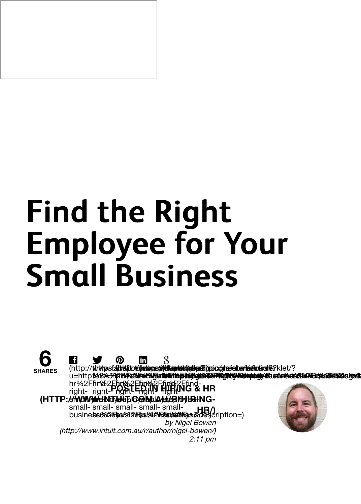# **Find the Right Find the Right Employee for Your Employee for Your Small Business Small Business**

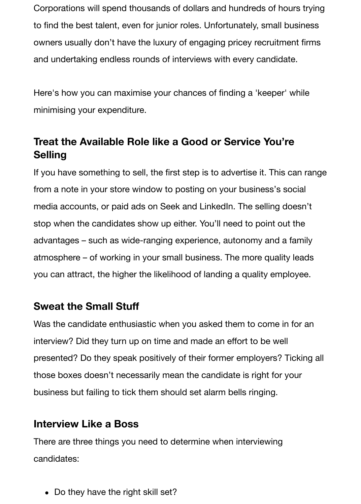Corporations will spend thousands of dollars and hundreds of hours trying to find the best talent, even for junior roles. Unfortunately, small business owners usually don't have the luxury of engaging pricey recruitment firms and undertaking endless rounds of interviews with every candidate.

Here's how you can maximise your chances of finding a 'keeper' while minimising your expenditure.

## **Treat the Available Role like a Good or Service You're Selling**

If you have something to sell, the first step is to advertise it. This can range from a note in your store window to posting on your business's social media accounts, or paid ads on Seek and LinkedIn. The selling doesn't stop when the candidates show up either. You'll need to point out the advantages – such as wide-ranging experience, autonomy and a family atmosphere – of working in your small business. The more quality leads you can attract, the higher the likelihood of landing a quality employee.

#### **Sweat the Small Stuff**

Was the candidate enthusiastic when you asked them to come in for an interview? Did they turn up on time and made an effort to be well presented? Do they speak positively of their former employers? Ticking all those boxes doesn't necessarily mean the candidate is right for your business but failing to tick them should set alarm bells ringing.

#### **Interview Like a Boss**

There are three things you need to determine when interviewing candidates:

• Do they have the right skill set?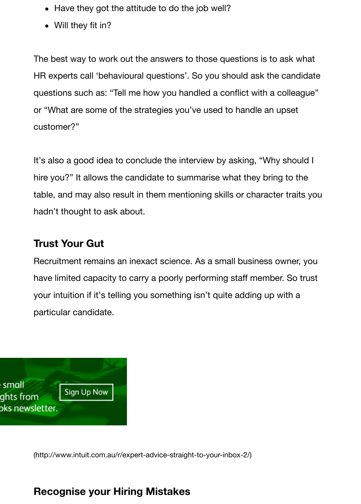questions such as: "Tell me how you handled a commet mini-a colleague" or "What are some of the strategies you've used to handle an upset customer?"

It's also a good idea to conclude the interview by asking, "Why should I hire you?" It allows the candidate to summarise what they bring to the table, and may also result in them mentioning skills or character traits you hadn't thought to ask about.

### **Trust Your Gut**

Recruitment remains an inexact science. As a small business owner, you have limited capacity to carry a poorly performing staff member. So trust your intuition if it's telling you something isn't quite adding up with a particular candidate.



(http://www.intuit.com.au/r/expert-advice-straight-to-your-inbox-2/)

## **[Recognise your Hiring Mistakes](http://www.intuit.com.au/r/expert-advice-straight-to-your-inbox-2/)**